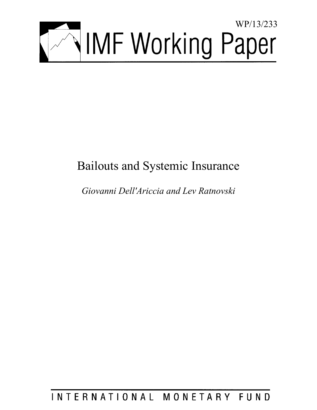

# Bailouts and Systemic Insurance

*Giovanni Dell'Ariccia and Lev Ratnovski* 

# INTERNATIONAL MONETARY FUND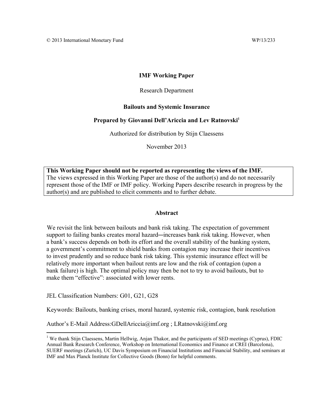## **IMF Working Paper**

## Research Department

## **Bailouts and Systemic Insurance**

## Prepared by Giovanni Dell'Ariccia and Lev Ratnovski<sup>1</sup>

Authorized for distribution by Stijn Claessens

November 2013

**This Working Paper should not be reported as representing the views of the IMF.**  The views expressed in this Working Paper are those of the author(s) and do not necessarily represent those of the IMF or IMF policy. Working Papers describe research in progress by the author(s) and are published to elicit comments and to further debate.

### **Abstract**

We revisit the link between bailouts and bank risk taking. The expectation of government support to failing banks creates moral hazard—increases bank risk taking. However, when a bank's success depends on both its effort and the overall stability of the banking system, a government's commitment to shield banks from contagion may increase their incentives to invest prudently and so reduce bank risk taking. This systemic insurance effect will be relatively more important when bailout rents are low and the risk of contagion (upon a bank failure) is high. The optimal policy may then be not to try to avoid bailouts, but to make them "effective": associated with lower rents.

JEL Classification Numbers: G01, G21, G28

Keywords: Bailouts, banking crises, moral hazard, systemic risk, contagion, bank resolution

Author's E-Mail Address:GDellAriccia@imf.org ; LRatnovski@imf.org

<sup>&</sup>lt;sup>1</sup> We thank Stijn Claessens, Martin Hellwig, Anjan Thakor, and the participants of SED meetings (Cyprus), FDIC Annual Bank Research Conference, Workshop on International Economics and Finance at CREI (Barcelona), SUERF meetings (Zurich), UC Davis Symposium on Financial Institutions and Financial Stability, and seminars at IMF and Max Planck Institute for Collective Goods (Bonn) for helpful comments.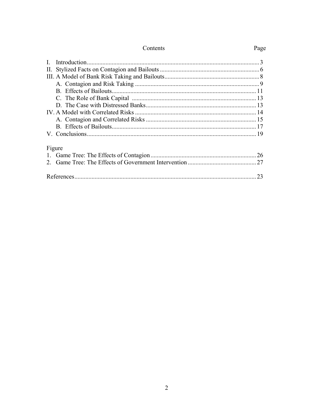| П.     |    |
|--------|----|
|        |    |
|        |    |
|        |    |
|        |    |
|        |    |
|        |    |
|        |    |
|        |    |
|        |    |
| Figure |    |
|        |    |
|        |    |
|        | 23 |

Contents

## Page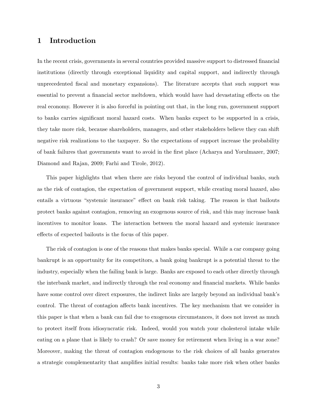## 1 Introduction

In the recent crisis, governments in several countries provided massive support to distressed financial institutions (directly through exceptional liquidity and capital support, and indirectly through unprecedented Öscal and monetary expansions). The literature accepts that such support was essential to prevent a financial sector meltdown, which would have had devastating effects on the real economy. However it is also forceful in pointing out that, in the long run, government support to banks carries significant moral hazard costs. When banks expect to be supported in a crisis, they take more risk, because shareholders, managers, and other stakeholders believe they can shift negative risk realizations to the taxpayer. So the expectations of support increase the probability of bank failures that governments want to avoid in the first place (Acharya and Yorulmazer, 2007; Diamond and Rajan, 2009; Farhi and Tirole, 2012).

This paper highlights that when there are risks beyond the control of individual banks, such as the risk of contagion, the expectation of government support, while creating moral hazard, also entails a virtuous "systemic insurance" effect on bank risk taking. The reason is that bailouts protect banks against contagion, removing an exogenous source of risk, and this may increase bank incentives to monitor loans. The interaction between the moral hazard and systemic insurance effects of expected bailouts is the focus of this paper.

The risk of contagion is one of the reasons that makes banks special. While a car company going bankrupt is an opportunity for its competitors, a bank going bankrupt is a potential threat to the industry, especially when the failing bank is large. Banks are exposed to each other directly through the interbank market, and indirectly through the real economy and financial markets. While banks have some control over direct exposures, the indirect links are largely beyond an individual bank's control. The threat of contagion affects bank incentives. The key mechanism that we consider in this paper is that when a bank can fail due to exogenous circumstances, it does not invest as much to protect itself from idiosyncratic risk. Indeed, would you watch your cholesterol intake while eating on a plane that is likely to crash? Or save money for retirement when living in a war zone? Moreover, making the threat of contagion endogenous to the risk choices of all banks generates a strategic complementarity that amplifies initial results: banks take more risk when other banks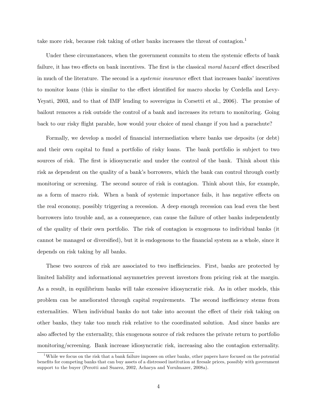take more risk, because risk taking of other banks increases the threat of contagion.<sup>1</sup>

Under these circumstances, when the government commits to stem the systemic effects of bank failure, it has two effects on bank incentives. The first is the classical moral hazard effect described in much of the literature. The second is a *systemic insurance* effect that increases banks' incentives to monitor loans (this is similar to the effect identified for macro shocks by Cordella and Levy-Yeyati, 2003, and to that of IMF lending to sovereigns in Corsetti et al., 2006). The promise of bailout removes a risk outside the control of a bank and increases its return to monitoring. Going back to our risky flight parable, how would your choice of meal change if you had a parachute?

Formally, we develop a model of financial intermediation where banks use deposits (or debt) and their own capital to fund a portfolio of risky loans. The bank portfolio is subject to two sources of risk. The first is idiosyncratic and under the control of the bank. Think about this risk as dependent on the quality of a bank's borrowers, which the bank can control through costly monitoring or screening. The second source of risk is contagion. Think about this, for example, as a form of macro risk. When a bank of systemic importance fails, it has negative effects on the real economy, possibly triggering a recession. A deep enough recession can lead even the best borrowers into trouble and, as a consequence, can cause the failure of other banks independently of the quality of their own portfolio. The risk of contagion is exogenous to individual banks (it cannot be managed or diversified), but it is endogenous to the financial system as a whole, since it depends on risk taking by all banks.

These two sources of risk are associated to two inefficiencies. First, banks are protected by limited liability and informational asymmetries prevent investors from pricing risk at the margin. As a result, in equilibrium banks will take excessive idiosyncratic risk. As in other models, this problem can be ameliorated through capital requirements. The second inefficiency stems from externalities. When individual banks do not take into account the effect of their risk taking on other banks, they take too much risk relative to the coordinated solution. And since banks are also affected by the externality, this exogenous source of risk reduces the private return to portfolio monitoring/screening. Bank increase idiosyncratic risk, increasing also the contagion externality.

<sup>&</sup>lt;sup>1</sup>While we focus on the risk that a bank failure imposes on other banks, other papers have focused on the potential benefits for competing banks that can buy assets of a distressed institution at firesale prices, possibly with government support to the buyer (Perotti and Suarez, 2002, Acharya and Yorulmazer, 2008a).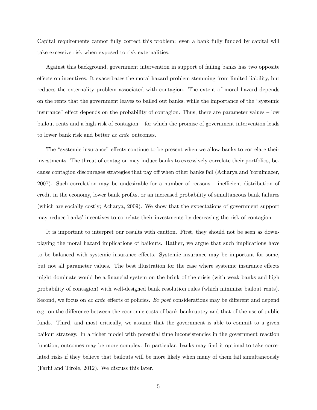Capital requirements cannot fully correct this problem: even a bank fully funded by capital will take excessive risk when exposed to risk externalities.

Against this background, government intervention in support of failing banks has two opposite effects on incentives. It exacerbates the moral hazard problem stemming from limited liability, but reduces the externality problem associated with contagion. The extent of moral hazard depends on the rents that the government leaves to bailed out banks, while the importance of the "systemic" insurance" effect depends on the probability of contagion. Thus, there are parameter values – low bailout rents and a high risk of contagion  $-$  for which the promise of government intervention leads to lower bank risk and better ex ante outcomes.

The "systemic insurance" effects continue to be present when we allow banks to correlate their investments. The threat of contagion may induce banks to excessively correlate their portfolios, because contagion discourages strategies that pay off when other banks fail (Acharya and Yorulmazer,  $2007$ ). Such correlation may be undesirable for a number of reasons  $\overline{\phantom{a}}$  inefficient distribution of credit in the economy, lower bank profits, or an increased probability of simultaneous bank failures (which are socially costly; Acharya, 2009). We show that the expectations of government support may reduce banks' incentives to correlate their investments by decreasing the risk of contagion.

It is important to interpret our results with caution. First, they should not be seen as downplaying the moral hazard implications of bailouts. Rather, we argue that such implications have to be balanced with systemic insurance effects. Systemic insurance may be important for some, but not all parameter values. The best illustration for the case where systemic insurance effects might dominate would be a financial system on the brink of the crisis (with weak banks and high probability of contagion) with well-designed bank resolution rules (which minimize bailout rents). Second, we focus on ex ante effects of policies. Ex post considerations may be different and depend e.g. on the difference between the economic costs of bank bankruptcy and that of the use of public funds. Third, and most critically, we assume that the government is able to commit to a given bailout strategy. In a richer model with potential time inconsistencies in the government reaction function, outcomes may be more complex. In particular, banks may find it optimal to take correlated risks if they believe that bailouts will be more likely when many of them fail simultaneously (Farhi and Tirole, 2012). We discuss this later.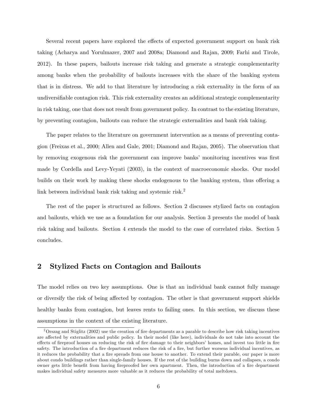Several recent papers have explored the effects of expected government support on bank risk taking (Acharya and Yorulmazer, 2007 and 2008a; Diamond and Rajan, 2009; Farhi and Tirole, 2012). In these papers, bailouts increase risk taking and generate a strategic complementarity among banks when the probability of bailouts increases with the share of the banking system that is in distress. We add to that literature by introducing a risk externality in the form of an undiversifiable contagion risk. This risk externality creates an additional strategic complementarity in risk taking, one that does not result from government policy. In contrast to the existing literature, by preventing contagion, bailouts can reduce the strategic externalities and bank risk taking.

The paper relates to the literature on government intervention as a means of preventing contagion (Freixas et al., 2000; Allen and Gale, 2001; Diamond and Rajan, 2005). The observation that by removing exogenous risk the government can improve banks' monitoring incentives was first made by Cordella and Levy-Yeyati (2003), in the context of macroeconomic shocks. Our model builds on their work by making these shocks endogenous to the banking system, thus offering a link between individual bank risk taking and systemic risk.<sup>2</sup>

The rest of the paper is structured as follows. Section 2 discusses stylized facts on contagion and bailouts, which we use as a foundation for our analysis. Section 3 presents the model of bank risk taking and bailouts. Section 4 extends the model to the case of correlated risks. Section 5 concludes.

## 2 Stylized Facts on Contagion and Bailouts

The model relies on two key assumptions. One is that an individual bank cannot fully manage or diversify the risk of being affected by contagion. The other is that government support shields healthy banks from contagion, but leaves rents to failing ones. In this section, we discuss these assumptions in the context of the existing literature.

 $2$ Orszag and Stiglitz (2002) use the creation of fire departments as a parable to describe how risk taking incentives are affected by externalities and public policy. In their model (like here), individuals do not take into account the effects of fireproof houses on reducing the risk of fire damage to their neighbors' homes, and invest too little in fire safety. The introduction of a fire department reduces the risk of a fire, but further worsens individual incentives, as it reduces the probability that a fire spreads from one house to another. To extend their parable, our paper is more about condo buildings rather than single-family houses. If the rest of the building burns down and collapses, a condo owner gets little benefit from having fireproofed her own apartment. Then, the introduction of a fire department makes individual safety measures more valuable as it reduces the probability of total meltdown.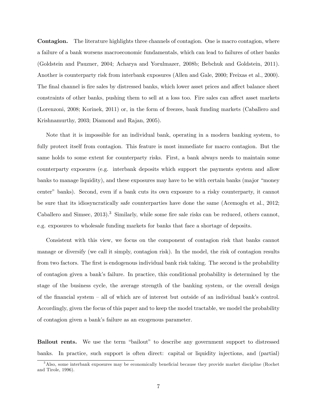Contagion. The literature highlights three channels of contagion. One is macro contagion, where a failure of a bank worsens macroeconomic fundamentals, which can lead to failures of other banks (Goldstein and Pauzner, 2004; Acharya and Yorulmazer, 2008b; Bebchuk and Goldstein, 2011). Another is counterparty risk from interbank exposures (Allen and Gale, 2000; Freixas et al., 2000). The final channel is fire sales by distressed banks, which lower asset prices and affect balance sheet constraints of other banks, pushing them to sell at a loss too. Fire sales can affect asset markets (Lorenzoni, 2008; Korinek, 2011) or, in the form of freezes, bank funding markets (Caballero and Krishnamurthy, 2003; Diamond and Rajan, 2005).

Note that it is impossible for an individual bank, operating in a modern banking system, to fully protect itself from contagion. This feature is most immediate for macro contagion. But the same holds to some extent for counterparty risks. First, a bank always needs to maintain some counterparty exposures (e.g. interbank deposits which support the payments system and allow banks to manage liquidity), and these exposures may have to be with certain banks (major "money" centerî banks). Second, even if a bank cuts its own exposure to a risky counterparty, it cannot be sure that its idiosyncratically safe counterparties have done the same (Acemoglu et al., 2012; Caballero and Simsec,  $2013$ .<sup>3</sup> Similarly, while some fire sale risks can be reduced, others cannot, e.g. exposures to wholesale funding markets for banks that face a shortage of deposits.

Consistent with this view, we focus on the component of contagion risk that banks cannot manage or diversify (we call it simply, contagion risk). In the model, the risk of contagion results from two factors. The first is endogenous individual bank risk taking. The second is the probability of contagion given a bankís failure. In practice, this conditional probability is determined by the stage of the business cycle, the average strength of the banking system, or the overall design of the financial system  $-$  all of which are of interest but outside of an individual bank's control. Accordingly, given the focus of this paper and to keep the model tractable, we model the probability of contagion given a bank's failure as an exogenous parameter.

Bailout rents. We use the term "bailout" to describe any government support to distressed banks. In practice, such support is often direct: capital or liquidity injections, and (partial)

 $3$ Also, some interbank exposures may be economically beneficial because they provide market discipline (Rochet and Tirole, 1996).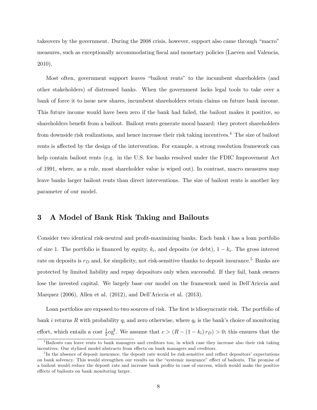takeovers by the government. During the 2008 crisis, however, support also came through "macro" measures, such as exceptionally accommodating Öscal and monetary policies (Laeven and Valencia, 2010).

Most often, government support leaves "bailout rents" to the incumbent shareholders (and other stakeholders) of distressed banks. When the government lacks legal tools to take over a bank of force it to issue new shares, incumbent shareholders retain claims on future bank income. This future income would have been zero if the bank had failed, the bailout makes it positive, so shareholders benefit from a bailout. Bailout rents generate moral hazard: they protect shareholders from downside risk realizations, and hence increase their risk taking incentives.<sup>4</sup> The size of bailout rents is affected by the design of the intervention. For example, a strong resolution framework can help contain bailout rents (e.g. in the U.S. for banks resolved under the FDIC Improvement Act of 1991, where, as a rule, most shareholder value is wiped out). In contrast, macro measures may leave banks larger bailout rents than direct interventions. The size of bailout rents is another key parameter of our model.

## 3 A Model of Bank Risk Taking and Bailouts

Consider two identical risk-neutral and profit-maximizing banks. Each bank  $i$  has a loan portfolio of size 1. The portfolio is financed by equity,  $k_i$ , and deposits (or debt),  $1 - k_i$ . The gross interest rate on deposits is  $r_D$  and, for simplicity, not risk-sensitive thanks to deposit insurance.<sup>5</sup> Banks are protected by limited liability and repay depositors only when successful. If they fail, bank owners lose the invested capital. We largely base our model on the framework used in Dell'Ariccia and Marquez  $(2006)$ , Allen et al.  $(2012)$ , and Dell'Ariccia et al.  $(2013)$ .

Loan portfolios are exposed to two sources of risk. The first is idiosyncratic risk. The portfolio of bank *i* returns R with probability  $q_i$  and zero otherwise, where  $q_i$  is the bank's choice of monitoring effort, which entails a cost  $\frac{1}{2}cq_i^2$ . We assume that  $c > (R - (1 - k_i) r_D) > 0$ ; this ensures that the

<sup>&</sup>lt;sup>4</sup>Bailouts can leave rents to bank managers and creditors too, in which case they increase also their risk taking incentives. Our stylized model abstracts from effects on bank managers and creditors.

 $5<sup>5</sup>$ In the absence of deposit insurance, the deposit rate would be risk-sensitive and reflect depositors' expectations on bank solvency. This would strengthen our results on the "systemic insurance" effect of bailouts. The promise of a bailout would reduce the deposit rate and increase bank profits in case of success, which would make the positive effects of bailouts on bank monitoring larger.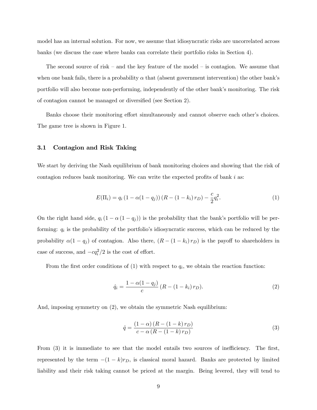model has an internal solution. For now, we assume that idiosyncratic risks are uncorrelated across banks (we discuss the case where banks can correlate their portfolio risks in Section 4).

The second source of risk  $-$  and the key feature of the model  $-$  is contagion. We assume that when one bank fails, there is a probability  $\alpha$  that (absent government intervention) the other bank's portfolio will also become non-performing, independently of the other bank's monitoring. The risk of contagion cannot be managed or diversified (see Section 2).

Banks choose their monitoring effort simultaneously and cannot observe each other's choices. The game tree is shown in Figure 1.

#### 3.1 Contagion and Risk Taking

We start by deriving the Nash equilibrium of bank monitoring choices and showing that the risk of contagion reduces bank monitoring. We can write the expected profits of bank  $i$  as:

$$
E(\Pi_i) = q_i (1 - \alpha(1 - q_j)) (R - (1 - k_i) r_D) - \frac{c}{2} q_i^2.
$$
 (1)

On the right hand side,  $q_i (1 - \alpha (1 - q_j))$  is the probability that the bank's portfolio will be performing:  $q_i$  is the probability of the portfolio's idiosyncratic success, which can be reduced by the probability  $\alpha(1 - q_j)$  of contagion. Also there,  $(R - (1 - k_i) r_D)$  is the payoff to shareholders in case of success, and  $-cq_i^2/2$  is the cost of effort.

From the first order conditions of  $(1)$  with respect to  $q_i$ , we obtain the reaction function:

$$
\hat{q}_i = \frac{1 - \alpha(1 - q_j)}{c} (R - (1 - k_i) r_D). \tag{2}
$$

And, imposing symmetry on (2), we obtain the symmetric Nash equilibrium:

$$
\hat{q} = \frac{\left(1 - \alpha\right)\left(R - \left(1 - k\right)r_D\right)}{c - \alpha\left(R - \left(1 - k\right)r_D\right)}\tag{3}
$$

From  $(3)$  it is immediate to see that the model entails two sources of inefficiency. The first, represented by the term  $-(1 - k)r_D$ , is classical moral hazard. Banks are protected by limited liability and their risk taking cannot be priced at the margin. Being levered, they will tend to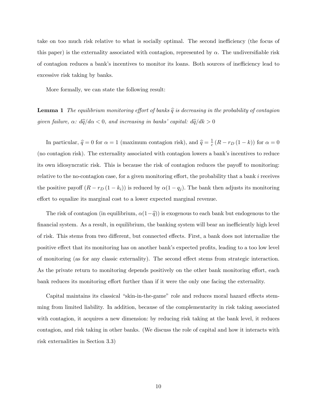take on too much risk relative to what is socially optimal. The second inefficiency (the focus of this paper) is the externality associated with contagion, represented by  $\alpha$ . The undiversifiable risk of contagion reduces a bank's incentives to monitor its loans. Both sources of inefficiency lead to excessive risk taking by banks.

More formally, we can state the following result:

**Lemma 1** The equilibrium monitoring effort of banks  $\hat{q}$  is decreasing in the probability of contagion given failure,  $\alpha$ :  $d\hat{q}/d\alpha < 0$ , and increasing in banks' capital:  $d\hat{q}/dk > 0$ 

In particular,  $\hat{q} = 0$  for  $\alpha = 1$  (maximum contagion risk), and  $\hat{q} = \frac{1}{c}$  $\frac{1}{c}(R-r_D(1-k))$  for  $\alpha=0$ (no contagion risk). The externality associated with contagion lowers a bankís incentives to reduce its own idiosyncratic risk. This is because the risk of contagion reduces the payoff to monitoring: relative to the no-contagion case, for a given monitoring effort, the probability that a bank  $i$  receives the positive payoff  $(R - r_D (1 - k_i))$  is reduced by  $\alpha(1 - q_j)$ . The bank then adjusts its monitoring effort to equalize its marginal cost to a lower expected marginal revenue.

The risk of contagion (in equilibrium,  $\alpha(1-\hat{q})$ ) is exogenous to each bank but endogenous to the financial system. As a result, in equilibrium, the banking system will bear an inefficiently high level of risk. This stems from two different, but connected effects. First, a bank does not internalize the positive effect that its monitoring has on another bank's expected profits, leading to a too low level of monitoring (as for any classic externality). The second effect stems from strategic interaction. As the private return to monitoring depends positively on the other bank monitoring effort, each bank reduces its monitoring effort further than if it were the only one facing the externality.

Capital maintains its classical "skin-in-the-game" role and reduces moral hazard effects stemming from limited liability. In addition, because of the complementarity in risk taking associated with contagion, it acquires a new dimension: by reducing risk taking at the bank level, it reduces contagion, and risk taking in other banks. (We discuss the role of capital and how it interacts with risk externalities in Section 3.3)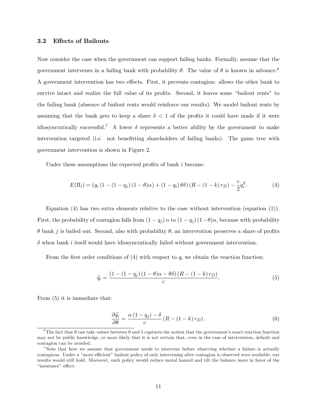#### 3.2 Effects of Bailouts

Now consider the case when the government can support failing banks. Formally, assume that the government intervenes in a failing bank with probability  $\theta$ . The value of  $\theta$  is known in advance.<sup>6</sup> A government intervention has two effects. First, it prevents contagion: allows the other bank to survive intact and realize the full value of its profits. Second, it leaves some "bailout rents" to the failing bank (absence of bailout rents would reinforce our results). We model bailout rents by assuming that the bank gets to keep a share  $\delta$  < 1 of the profits it could have made if it were idiosyncratically successful.<sup>7</sup> A lower  $\delta$  represents a better ability by the government to make intervention targeted (i.e. not benefitting shareholders of failing banks). The game tree with government intervention is shown in Figure 2.

Under these assumptions the expected profits of bank  $i$  become:

$$
E(\Pi_i) = (q_i (1 - (1 - q_j) (1 - \theta)\alpha) + (1 - q_i) \theta \delta) (R - (1 - k) r_D) - \frac{c}{2} q_i^2.
$$
 (4)

Equation (4) has two extra elements relative to the case without intervention (equation (1)). First, the probability of contagion falls from  $(1 - q_j) \alpha$  to  $(1 - q_j) (1 - \theta) \alpha$ , because with probability  $\theta$  bank j is bailed out. Second, also with probability  $\theta$ , an intervention preserves a share of profits  $\delta$  when bank i itself would have idiosyncratically failed without government intervention.

From the first order conditions of  $(4)$  with respect to  $q_i$  we obtain the reaction function:

$$
\widehat{q_i} = \frac{\left(1 - \left(1 - q_j\right)\left(1 - \theta\right)\alpha - \theta\delta\right)\left(R - \left(1 - k\right)r_D\right)}{c}.\tag{5}
$$

From (5) it is immediate that:

$$
\frac{\partial \widehat{q_i}}{\partial \theta} = \frac{\alpha \left(1 - q_j\right) - \delta}{c} \left(R - \left(1 - k\right) r_D\right). \tag{6}
$$

<sup>&</sup>lt;sup>6</sup>The fact that  $\theta$  can take values between 0 and 1 captures the notion that the government's exact reaction function may not be public knowledge, or more likely that it is not certain that, even in the case of intervention, default and contagion can be avoided.

<sup>&</sup>lt;sup>7</sup>Note that here we assume that government needs to intervene before observing whether a failure is actually contagious. Under a "more efficient" bailout policy of only intervening after contagion is observed were available, our results would still hold. Moreover, such policy would reduce moral hazard and tilt the balance more in favor of the "insurance" effect.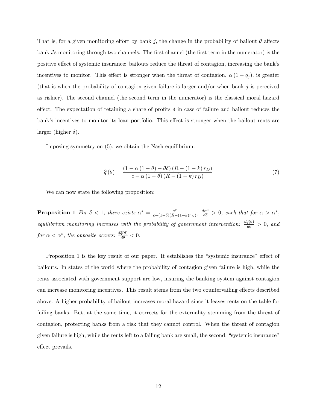That is, for a given monitoring effort by bank j, the change in the probability of bailout  $\theta$  affects bank  $i$ 's monitoring through two channels. The first channel (the first term in the numerator) is the positive effect of systemic insurance: bailouts reduce the threat of contagion, increasing the bank's incentives to monitor. This effect is stronger when the threat of contagion,  $\alpha(1 - q_j)$ , is greater (that is when the probability of contagion given failure is larger and/or when bank  $j$  is perceived as riskier). The second channel (the second term in the numerator) is the classical moral hazard effect. The expectation of retaining a share of profits  $\delta$  in case of failure and bailout reduces the bank's incentives to monitor its loan portfolio. This effect is stronger when the bailout rents are larger (higher  $\delta$ ).

Imposing symmetry on (5), we obtain the Nash equilibrium:

$$
\widehat{q}(\theta) = \frac{\left(1 - \alpha\left(1 - \theta\right) - \theta\delta\right)\left(R - \left(1 - k\right)r_D\right)}{c - \alpha\left(1 - \theta\right)\left(R - \left(1 - k\right)r_D\right)}\tag{7}
$$

We can now state the following proposition:

**Proposition 1** For  $\delta$  < 1, there exists  $\alpha^* = \frac{c\delta}{c - (1-\delta)(B-1)}$  $\frac{c\delta}{c-(1-\delta)(R-(1-k)r_D)}, \frac{d\alpha^*}{d\delta} > 0$ , such that for  $\alpha > \alpha^*$ , equilibrium monitoring increases with the probability of government intervention:  $\frac{d\hat{q}(\theta)}{d\theta} > 0$ , and for  $\alpha < \alpha^*$ , the opposite occurs:  $\frac{d\hat{q}(\theta)}{d\theta} < 0$ .

Proposition 1 is the key result of our paper. It establishes the "systemic insurance" effect of bailouts. In states of the world where the probability of contagion given failure is high, while the rents associated with government support are low, insuring the banking system against contagion can increase monitoring incentives. This result stems from the two countervailing effects described above. A higher probability of bailout increases moral hazard since it leaves rents on the table for failing banks. But, at the same time, it corrects for the externality stemming from the threat of contagion, protecting banks from a risk that they cannot control. When the threat of contagion given failure is high, while the rents left to a failing bank are small, the second, "systemic insurance" effect prevails.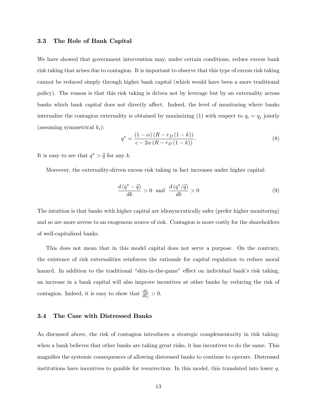#### 3.3 The Role of Bank Capital

We have showed that government intervention may, under certain conditions, reduce excess bank risk taking that arises due to contagion. It is important to observe that this type of excess risk taking cannot be reduced simply through higher bank capital (which would have been a more traditional policy). The reason is that this risk taking is driven not by leverage but by an externality across banks which bank capital does not directly affect. Indeed, the level of monitoring where banks internalize the contagion externality is obtained by maximizing (1) with respect to  $q_i = q_j$  jointly (assuming symmetrical  $k_i$ ):

$$
q^* = \frac{(1 - \alpha)(R - r_D(1 - k))}{c - 2\alpha(R - r_D(1 - k))}.
$$
\n(8)

It is easy to see that  $q^* > \hat{q}$  for any k.

Moreover, the externality-driven excess risk taking in fact increases under higher capital:

$$
\frac{d(q^* - \hat{q})}{dk} > 0 \quad \text{and} \quad \frac{d(q^*/\hat{q})}{dk} > 0 \tag{9}
$$

The intuition is that banks with higher capital are idiosyncratically safer (prefer higher monitoring) and so are more averse to an exogenous source of risk. Contagion is more costly for the shareholders of well-capitalized banks.

This does not mean that in this model capital does not serve a purpose. On the contrary, the existence of risk externalities reinforces the rationale for capital regulation to reduce moral hazard. In addition to the traditional "skin-in-the-game" effect on individual bank's risk taking, an increase in a bank capital will also improve incentives at other banks by reducing the risk of contagion. Indeed, it is easy to show that  $\frac{d\hat{q}_i}{dk_j} > 0$ .

#### 3.4 The Case with Distressed Banks

As discussed above, the risk of contagion introduces a strategic complementarity in risk taking: when a bank believes that other banks are taking great risks, it has incentives to do the same. This magnifies the systemic consequences of allowing distressed banks to continue to operate. Distressed institutions have incentives to gamble for resurrection. In this model, this translated into lower  $q$ .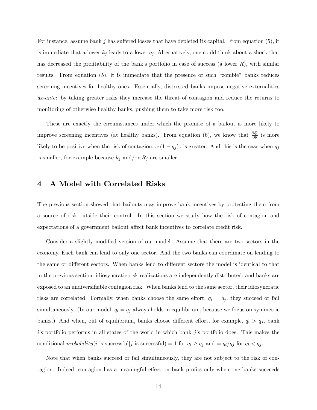For instance, assume bank j has suffered losses that have depleted its capital. From equation  $(5)$ , it is immediate that a lower  $k_j$  leads to a lower  $q_j$ . Alternatively, one could think about a shock that has decreased the profitability of the bank's portfolio in case of success (a lower  $R$ ), with similar results. From equation  $(5)$ , it is immediate that the presence of such "zombie" banks reduces screening incentives for healthy ones. Essentially, distressed banks impose negative externalities ax-ante: by taking greater risks they increase the threat of contagion and reduce the returns to monitoring of otherwise healthy banks, pushing them to take more risk too.

These are exactly the circumstances under which the promise of a bailout is more likely to improve screening incentives (at healthy banks). From equation (6), we know that  $\frac{\partial \widehat{q}_i}{\partial \theta}$  is more likely to be positive when the risk of contagion,  $\alpha(1 - q_j)$ , is greater. And this is the case when  $q_j$ is smaller, for example because  $k_j$  and/or  $R_j$  are smaller.

## 4 A Model with Correlated Risks

The previous section showed that bailouts may improve bank incentives by protecting them from a source of risk outside their control. In this section we study how the risk of contagion and expectations of a government bailout affect bank incentives to correlate credit risk.

Consider a slightly modified version of our model. Assume that there are two sectors in the economy. Each bank can lend to only one sector. And the two banks can coordinate on lending to the same or different sectors. When banks lend to different sectors the model is identical to that in the previous section: idiosyncratic risk realizations are independently distributed, and banks are exposed to an undiversifiable contagion risk. When banks lend to the same sector, their idiosyncratic risks are correlated. Formally, when banks choose the same effort,  $q_i = q_j$ , they succeed or fail simultaneously. (In our model,  $q_i = q_j$  always holds in equilibrium, because we focus on symmetric banks.) And when, out of equilibrium, banks choose different effort, for example,  $q_i > q_j$ , bank  $i$ 's portfolio performs in all states of the world in which bank  $j$ 's portfolio does. This makes the conditional probability(i is successful) = 1 for  $q_i \ge q_j$  and =  $q_i/q_j$  for  $q_i < q_j$ .

Note that when banks succeed or fail simultaneously, they are not subject to the risk of contagion. Indeed, contagion has a meaningful effect on bank profits only when one banks succeeds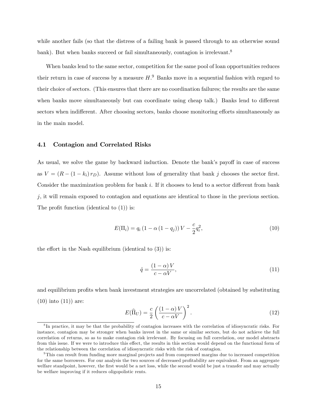while another fails (so that the distress of a failing bank is passed through to an otherwise sound bank). But when banks succeed or fail simultaneously, contagion is irrelevant.<sup>8</sup>

When banks lend to the same sector, competition for the same pool of loan opportunities reduces their return in case of success by a measure  $H<sup>9</sup>$  Banks move in a sequential fashion with regard to their choice of sectors. (This ensures that there are no coordination failures; the results are the same when banks move simultaneously but can coordinate using cheap talk.) Banks lend to different sectors when indifferent. After choosing sectors, banks choose monitoring efforts simultaneously as in the main model.

#### 4.1 Contagion and Correlated Risks

As usual, we solve the game by backward induction. Denote the bank's payoff in case of success as  $V = (R - (1 - k_i) r_D)$ . Assume without loss of generality that bank j chooses the sector first. Consider the maximization problem for bank  $i$ . If it chooses to lend to a sector different from bank  $j$ , it will remain exposed to contagion and equations are identical to those in the previous section. The profit function (identical to  $(1)$ ) is:

$$
E(\Pi_i) = q_i (1 - \alpha (1 - q_j)) V - \frac{c}{2} q_i^2,
$$
\n(10)

the effort in the Nash equilibrium (identical to  $(3)$ ) is:

$$
\hat{q} = \frac{(1 - \alpha)V}{c - \alpha V},\tag{11}
$$

and equilibrium profits when bank investment strategies are uncorrelated (obtained by substituting  $(10)$  into  $(11)$  are:

$$
E(\widehat{\Pi}_U) = \frac{c}{2} \left( \frac{(1-\alpha)V}{c - \alpha V} \right)^2.
$$
 (12)

<sup>&</sup>lt;sup>8</sup>In practice, it may be that the probability of contagion increases with the correlation of idiosyncratic risks. For instance, contagion may be stronger when banks invest in the same or similar sectors, but do not achieve the full correlation of returns, so as to make contagion risk irrelevant. By focusing on full correlation, our model abstracts from this issue. If we were to introduce this effect, the results in this section would depend on the functional form of the relationship between the correlation of idiosyncratic risks with the risk of contagion.

<sup>9</sup>This can result from funding more marginal projects and from compressed margins due to increased competition for the same borrowers. For our analysis the two sources of decreased profitability are equivalent. From an aggregate welfare standpoint, however, the first would be a net loss, while the second would be just a transfer and may actually be welfare improving if it reduces oligopolistic rents.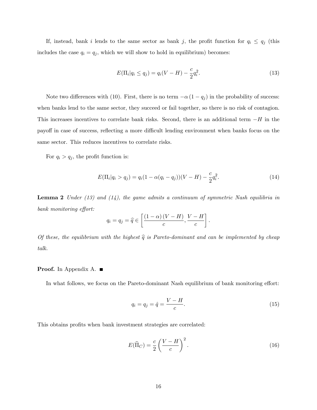If, instead, bank i lends to the same sector as bank j, the profit function for  $q_i \leq q_j$  (this includes the case  $q_i = q_j$ , which we will show to hold in equilibrium) becomes:

$$
E(\Pi_i|q_i \le q_j) = q_i(V - H) - \frac{c}{2}q_i^2.
$$
\n(13)

Note two differences with (10). First, there is no term  $-\alpha(1 - q_j)$  in the probability of success: when banks lend to the same sector, they succeed or fail together, so there is no risk of contagion. This increases incentives to correlate bank risks. Second, there is an additional term  $-H$  in the payoff in case of success, reflecting a more difficult lending environment when banks focus on the same sector. This reduces incentives to correlate risks.

For  $q_i > q_j$ , the profit function is:

$$
E(\Pi_i|q_i > q_j) = q_i(1 - \alpha(q_i - q_j))(V - H) - \frac{c}{2}q_i^2.
$$
\n(14)

**Lemma 2** Under  $(13)$  and  $(14)$ , the game admits a continuum of symmetric Nash equilibria in bank monitoring effort:

$$
q_i = q_j = \widehat{q} \in \left[ \frac{(1-\alpha)(V-H)}{c}, \frac{V-H}{c} \right].
$$

Of these, the equilibrium with the highest  $\hat{q}$  is Pareto-dominant and can be implemented by cheap talk.

#### **Proof.** In Appendix A.  $\blacksquare$

In what follows, we focus on the Pareto-dominant Nash equilibrium of bank monitoring effort:

$$
q_i = q_j = \hat{q} = \frac{V - H}{c}.
$$
\n(15)

This obtains profits when bank investment strategies are correlated:

$$
E(\widehat{\Pi}_C) = \frac{c}{2} \left( \frac{V - H}{c} \right)^2.
$$
 (16)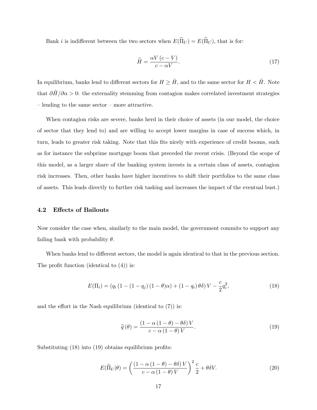Bank *i* is indifferent between the two sectors when  $E(\widehat{\Pi}_U) = E(\widehat{\Pi}_C)$ , that is for:

$$
\widetilde{H} = \frac{\alpha V (c - V)}{c - \alpha V}.
$$
\n(17)

In equilibrium, banks lend to different sectors for  $H \geq H$ , and to the same sector for  $H < H$ . Note that  $\partial H/\partial \alpha > 0$ : the externality stemming from contagion makes correlated investment strategies  $\overline{\phantom{a}}$  lending to the same sector  $\overline{\phantom{a}}$  more attractive.

When contagion risks are severe, banks herd in their choice of assets (in our model, the choice of sector that they lend to) and are willing to accept lower margins in case of success which, in turn, leads to greater risk taking. Note that this fits nicely with experience of credit booms, such as for instance the subprime mortgage boom that preceded the recent crisis. (Beyond the scope of this model, as a larger share of the banking system invests in a certain class of assets, contagion risk increases. Then, other banks have higher incentives to shift their portfolios to the same class of assets. This leads directly to further risk tasking and increases the impact of the eventual bust.)

#### 4.2 Effects of Bailouts

Now consider the case when, similarly to the main model, the government commits to support any failing bank with probability  $\theta$ .

When banks lend to different sectors, the model is again identical to that in the previous section. The profit function (identical to  $(4)$ ) is:

$$
E(\Pi_i) = (q_i (1 - (1 - q_j) (1 - \theta)\alpha) + (1 - q_i) \theta \delta) V - \frac{c}{2} q_i^2,
$$
\n(18)

and the effort in the Nash equilibrium (identical to  $(7)$ ) is:

$$
\widehat{q}(\theta) = \frac{\left(1 - \alpha\left(1 - \theta\right) - \theta\delta\right)V}{c - \alpha\left(1 - \theta\right)V}.\tag{19}
$$

Substituting  $(18)$  into  $(19)$  obtains equilibrium profits:

$$
E(\widehat{\Pi}_U|\theta) = \left(\frac{(1 - \alpha(1 - \theta) - \theta\delta)V}{c - \alpha(1 - \theta)V}\right)^2 \frac{c}{2} + \theta\delta V.
$$
 (20)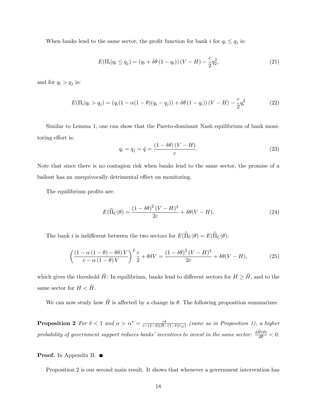When banks lend to the same sector, the profit function for bank i for  $q_i \le q_j$  is:

$$
E(\Pi_i|q_i \le q_j) = (q_i + \delta\theta (1 - q_i))(V - H) - \frac{c}{2}q_2^2,
$$
\n(21)

and for  $q_i > q_j$  is:

$$
E(\Pi_i|q_i > q_j) = (q_i(1 - \alpha(1 - \theta)(q_i - q_j)) + \delta\theta(1 - q_i))(V - H) - \frac{c}{2}q_i^2
$$
 (22)

Similar to Lemma 1, one can show that the Pareto-dominant Nash equilibrium of bank monitoring effort is:

$$
q_i = q_j = \hat{q} = \frac{\left(1 - \delta\theta\right)\left(V - H\right)}{c}.\tag{23}
$$

Note that since there is no contagion risk when banks lend to the same sector, the promise of a bailout has an unequivocally detrimental effect on monitoring.

The equilibrium profits are:

$$
E(\widehat{\Pi}_C|\theta) = \frac{(1 - \delta\theta)^2 (V - H)^2}{2c} + \delta\theta(V - H). \tag{24}
$$

The bank i is indifferent between the two sectors for  $E(\hat{\Pi}_U|\theta) = E(\hat{\Pi}_C|\theta)$ :

$$
\left(\frac{\left(1-\alpha\left(1-\theta\right)-\theta\delta\right)V}{c-\alpha\left(1-\theta\right)V}\right)^2\frac{c}{2}+\theta\delta V=\frac{\left(1-\delta\theta\right)^2\left(V-H\right)^2}{2c}+\delta\theta(V-H),\tag{25}
$$

which gives the threshold  $\tilde{H}$ : In equilibrium, banks lend to different sectors for  $H \geq \tilde{H}$ , and to the same sector for  $H < H$ .

We can now study how  $\tilde{H}$  is affected by a change in  $\theta$ . The following proposition summarizes:

**Proposition 2** For  $\delta < 1$  and  $\alpha > \alpha^* = \frac{c\delta}{c - (1-\delta)(B-1)}$  $\frac{c\delta}{c-(1-\delta)(R-(1-k)r_D)}$  (same as in Proposition 1), a higher probability of government support reduces banks' incentives to invest in the same sector:  $\frac{d\tilde{H}(\theta)}{d\theta} < 0$ .

#### Proof. In Appendix B. ■

Proposition 2 is our second main result. It shows that whenever a government intervention has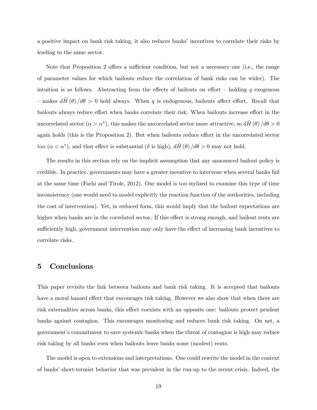a positive impact on bank risk taking, it also reduces banks' incentives to correlate their risks by lending to the same sector.

Note that Proposition 2 offers a sufficient condition, but not a necessary one (i.e., the range of parameter values for which bailouts reduce the correlation of bank risks can be wider). The intuition is as follows. Abstracting from the effects of bailouts on effort  $-$  holding q exogenous – makes  $dH(\theta)/d\theta > 0$  hold always. When q is endogenous, bailouts affect effort. Recall that bailouts always reduce effort when banks correlate their risk. When bailouts increase effort in the uncorrelated sector  $(\alpha > \alpha^*)$ , this makes the uncorrelated sector more attractive, so  $d\tilde{H}(\theta)/d\theta > 0$ again holds (this is the Proposition 2). But when bailouts reduce effort in the uncorrelated sector too  $(\alpha < \alpha^*)$ , and that effect is substantial  $(\delta \text{ is high})$ ,  $d\tilde{H}(\theta)/d\theta > 0$  may not hold.

The results in this section rely on the implicit assumption that any announced bailout policy is credible. In practice, governments may have a greater incentive to intervene when several banks fail at the same time (Farhi and Tirole, 2012). Our model is too stylized to examine this type of time inconsistency (one would need to model explicitly the reaction function of the authorities, including the cost of intervention). Yet, in reduced form, this would imply that the bailout expectations are higher when banks are in the correlated sector. If this effect is strong enough, and bailout rents are sufficiently high, government intervention may only have the effect of increasing bank incentives to correlate risks.

## 5 Conclusions

This paper revisits the link between bailouts and bank risk taking. It is accepted that bailouts have a moral hazard effect that encourages risk taking. However we also show that when there are risk externalities across banks, this effect coexists with an opposite one: bailouts protect prudent banks against contagion. This encourages monitoring and reduces bank risk taking. On net, a government's commitment to save systemic banks when the threat of contagion is high may reduce risk taking by all banks even when bailouts leave banks some (modest) rents.

The model is open to extensions and interpretations. One could rewrite the model in the context of banks' short-termist behavior that was prevalent in the run-up to the recent crisis. Indeed, the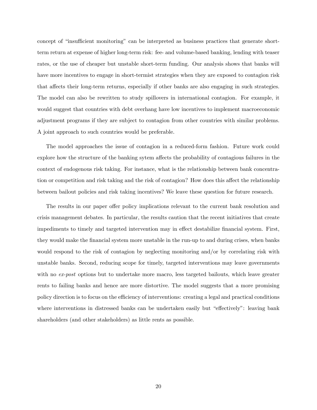concept of "insufficient monitoring" can be interpreted as business practices that generate shortterm return at expense of higher long-term risk: fee- and volume-based banking, lending with teaser rates, or the use of cheaper but unstable short-term funding. Our analysis shows that banks will have more incentives to engage in short-termist strategies when they are exposed to contagion risk that affects their long-term returns, especially if other banks are also engaging in such strategies. The model can also be rewritten to study spillovers in international contagion. For example, it would suggest that countries with debt overhang have low incentives to implement macroeconomic adjustment programs if they are subject to contagion from other countries with similar problems. A joint approach to such countries would be preferable.

The model approaches the issue of contagion in a reduced-form fashion. Future work could explore how the structure of the banking sytem affects the probability of contagious failures in the context of endogenous risk taking. For instance, what is the relationship between bank concentration or competition and risk taking and the risk of contagion? How does this affect the relationship between bailout policies and risk taking incentives? We leave these question for future research.

The results in our paper offer policy implications relevant to the current bank resolution and crisis management debates. In particular, the results caution that the recent initiatives that create impediments to timely and targeted intervention may in effect destabilize financial system. First, they would make the Önancial system more unstable in the run-up to and during crises, when banks would respond to the risk of contagion by neglecting monitoring and/or by correlating risk with unstable banks. Second, reducing scope for timely, targeted interventions may leave governments with no ex-post options but to undertake more macro, less targeted bailouts, which leave greater rents to failing banks and hence are more distortive. The model suggests that a more promising policy direction is to focus on the efficiency of interventions: creating a legal and practical conditions where interventions in distressed banks can be undertaken easily but "effectively": leaving bank shareholders (and other stakeholders) as little rents as possible.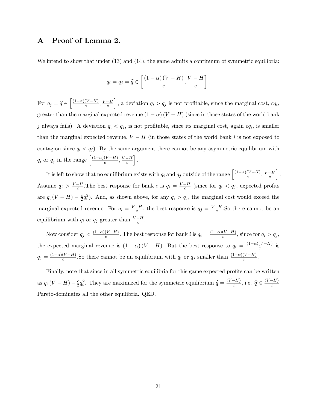## A Proof of Lemma 2.

We intend to show that under (13) and (14), the game admits a continuum of symmetric equilibria:

$$
q_i = q_j = \widehat{q} \in \left[ \frac{(1-\alpha)(V-H)}{c}, \frac{V-H}{c} \right].
$$

For  $q_j = \widehat{q} \in \left[\frac{(1-\alpha)(V-H)}{c}, \frac{V-H}{c}\right]$ , a deviation  $q_i > q_j$  is not profitable, since the marginal cost,  $cq_i$ , greater than the marginal expected revenue  $(1 - \alpha) (V - H)$  (since in those states of the world bank j always fails). A deviation  $q_i < q_j$ , is not profitable, since its marginal cost, again  $cq_i$ , is smaller than the marginal expected revenue,  $V - H$  (in those states of the world bank i is not exposed to contagion since  $q_i < q_j$ ). By the same argument there cannot be any asymmetric equilibrium with  $q_i$  or  $q_j$  in the range  $\left[ \frac{(1-\alpha)(V-H)}{c}, \frac{V-H}{c} \right]$ i :

It is left to show that no equilibrium exists with  $q_i$  and  $q_j$  outside of the range  $\left[ \frac{(1-\alpha)(V-H)}{c}, \frac{V-H}{c} \right]$ i : Assume  $q_j > \frac{V-H}{c}$ . The best response for bank i is  $q_i = \frac{V-H}{c}$  (since for  $q_i < q_j$ , expected profits are  $q_i(V-H) - \frac{c}{2}$  $\frac{c}{2}q_i^2$ ). And, as shown above, for any  $q_i > q_j$ , the marginal cost would exceed the marginal expected revenue. For  $q_i = \frac{V-H}{c}$ , the best response is  $q_j = \frac{V-H}{c}$ . So there cannot be an equilibrium with  $q_i$  or  $q_j$  greater than  $\frac{V-H}{c}$ .

Now consider  $q_j < \frac{(1-\alpha)(V-H)}{c}$ . The best response for bank i is  $q_i = \frac{(1-\alpha)(V-H)}{c}$ , since for  $q_i > q_j$ , the expected marginal revenue is  $(1 - \alpha) (V - H)$ . But the best response to  $q_i = \frac{(1 - \alpha)(V - H)}{c}$  is  $q_j = \frac{(1-\alpha)(V-H)}{c}$ . So there cannot be an equilibrium with  $q_i$  or  $q_j$  smaller than  $\frac{(1-\alpha)(V-H)}{c}$ .

Finally, note that since in all symmetric equilibria for this game expected profits can be written as  $q_i(V-H) - \frac{c}{2}$  $\frac{c}{2}q_i^2$ . They are maximized for the symmetric equilibrium  $\hat{q} = \frac{(V-H)}{c}$ , i.e.  $\hat{q} \in \frac{(V-H)}{c}$ Pareto-dominates all the other equilibria. QED.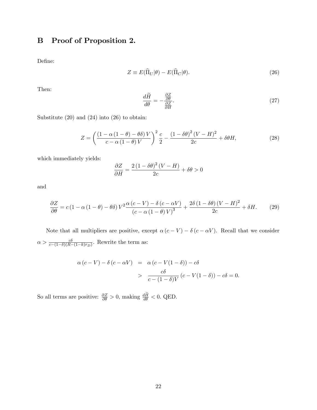## B Proof of Proposition 2.

Define:

$$
Z \equiv E(\hat{\Pi}_U|\theta) - E(\hat{\Pi}_C|\theta). \tag{26}
$$

Then:

$$
\frac{d\widetilde{H}}{d\theta} = -\frac{\frac{\partial Z}{\partial \theta}}{\frac{\partial Z}{\partial H}}.\tag{27}
$$

Substitute (20) and (24) into (26) to obtain:

$$
Z = \left(\frac{\left(1 - \alpha\left(1 - \theta\right) - \theta\delta\right)V}{c - \alpha\left(1 - \theta\right)V}\right)^2 \frac{c}{2} - \frac{\left(1 - \delta\theta\right)^2 (V - H)^2}{2c} + \delta\theta H,\tag{28}
$$

which immediately yields:

$$
\frac{\partial Z}{\partial H} = \frac{2\left(1 - \delta\theta\right)^2 (V - H)}{2c} + \delta\theta > 0
$$

and

$$
\frac{\partial Z}{\partial \theta} = c \left( 1 - \alpha \left( 1 - \theta \right) - \theta \delta \right) V^2 \frac{\alpha \left( c - V \right) - \delta \left( c - \alpha V \right)}{\left( c - \alpha \left( 1 - \theta \right) V \right)^3} + \frac{2 \delta \left( 1 - \delta \theta \right) \left( V - H \right)^2}{2c} + \delta H. \tag{29}
$$

Note that all multipliers are positive, except  $\alpha(c-V) - \delta(c - \alpha V)$ . Recall that we consider  $\alpha > \frac{c\delta}{c - (1-\delta)(R - (1-k)r_D)}$ . Rewrite the term as:

$$
\alpha (c - V) - \delta (c - \alpha V) = \alpha (c - V(1 - \delta)) - c\delta
$$
  
> 
$$
\frac{c\delta}{c - (1 - \delta)V} (c - V(1 - \delta)) - c\delta = 0.
$$

So all terms are positive:  $\frac{\partial Z}{\partial \theta} > 0$ , making  $\frac{dH}{d\theta} < 0$ . QED.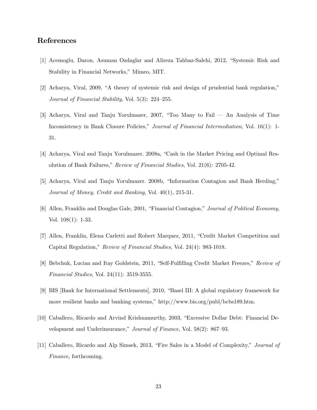## References

- [1] Acemoglu, Daron, Asuman Ozdaglar and Alireza Tahbaz-Salehi, 2012, "Systemic Risk and Stability in Financial Networks," Mimeo, MIT.
- $[2]$  Acharya, Viral, 2009, "A theory of systemic risk and design of prudential bank regulation," Journal of Financial Stability, Vol.  $5(3)$ :  $224-255$ .
- [3] Acharya, Viral and Tanju Yorulmazer, 2007, "Too Many to Fail  $-$  An Analysis of Time Inconsistency in Bank Closure Policies," Journal of Financial Intermediation, Vol. 16(1): 1-31.
- [4] Acharya, Viral and Tanju Yorulmazer. 2008a, "Cash in the Market Pricing and Optimal Resolution of Bank Failures," Review of Financial Studies, Vol.  $21(6)$ : 2705-42.
- [5] Acharya, Viral and Tanju Yorulmazer. 2008b, "Information Contagion and Bank Herding," Journal of Money, Credit and Banking, Vol. 40(1), 215-31.
- [6] Allen, Franklin and Douglas Gale, 2001, "Financial Contagion," Journal of Political Economy, Vol. 108(1): 1-33.
- [7] Allen, Franklin, Elena Carletti and Robert Marquez, 2011, "Credit Market Competition and Capital Regulation," Review of Financial Studies, Vol. 24(4): 983-1018.
- [8] Bebchuk, Lucian and Itay Goldstein, 2011, "Self-Fulfilling Credit Market Freezes," Review of Financial Studies, Vol. 24(11): 3519-3555.
- [9] BIS [Bank for International Settlements], 2010, "Basel III: A global regulatory framework for more resilient banks and banking systems," http://www.bis.org/publ/bcbs189.htm.
- [10] Caballero, Ricardo and Arvind Krishnamurthy, 2003, "Excessive Dollar Debt: Financial Development and Underinsurance," Journal of Finance, Vol.  $58(2)$ :  $867-93$ .
- [11] Caballero, Ricardo and Alp Simsek, 2013, "Fire Sales in a Model of Complexity," *Journal of* Finance, forthcoming.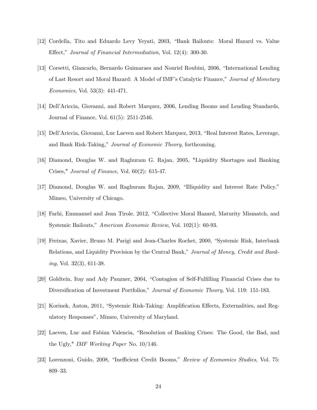- [12] Cordella, Tito and Eduardo Levy Yeyati, 2003, "Bank Bailouts: Moral Hazard vs. Value Effect," Journal of Financial Intermediation, Vol. 12(4): 300-30.
- [13] Corsetti, Giancarlo, Bernardo Guimaraes and Nouriel Roubini, 2006, "International Lending" of Last Resort and Moral Hazard: A Model of IMF's Catalytic Finance," Journal of Monetary Economics, Vol. 53(3): 441-471.
- [14] Dell'Ariccia, Giovanni, and Robert Marquez, 2006, Lending Booms and Lending Standards, Journal of Finance, Vol. 61(5): 2511-2546.
- [15] Dell'Ariccia, Giovanni, Luc Laeven and Robert Marquez, 2013, "Real Interest Rates, Leverage, and Bank Risk-Taking," Journal of Economic Theory, forthcoming.
- [16] Diamond, Douglas W. and Raghuram G. Rajan, 2005, "Liquidity Shortages and Banking Crises," Journal of Finance, Vol. 60(2): 615-47.
- [17] Diamond, Douglas W. and Raghuram Rajan, 2009, "Illiquidity and Interest Rate Policy." Mimeo, University of Chicago.
- [18] Farhi, Emmanuel and Jean Tirole. 2012, "Collective Moral Hazard, Maturity Mismatch, and Systemic Bailouts," American Economic Review, Vol. 102(1): 60-93.
- [19] Freixas, Xavier, Bruno M. Parigi and Jean-Charles Rochet, 2000, "Systemic Risk, Interbank Relations, and Liquidity Provision by the Central Bank," Journal of Money, Credit and Bank*ing*, Vol. 32 $(3)$ , 611-38.
- [20] Goldtein, Itay and Ady Pauzner, 2004, "Contagion of Self-Fulfilling Financial Crises due to Diversification of Investment Portfolios," Journal of Economic Theory, Vol. 119: 151-183.
- [21] Korinek, Anton, 2011, "Systemic Risk-Taking: Amplification Effects, Externalities, and Regulatory Responses", Mimeo, University of Maryland.
- [22] Laeven, Luc and Fabian Valencia, "Resolution of Banking Crises: The Good, the Bad, and the Ugly," IMF Working Paper No. 10/146.
- [23] Lorenzoni, Guido, 2008, "Inefficient Credit Booms," Review of Economics Studies, Vol. 75: 809-33.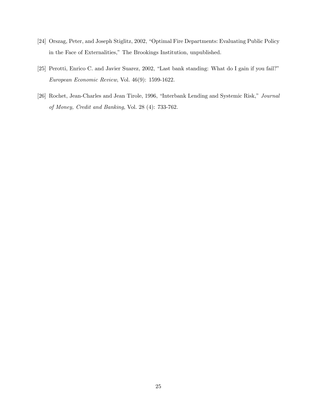- [24] Orszag, Peter, and Joseph Stiglitz, 2002, "Optimal Fire Departments: Evaluating Public Policy in the Face of Externalities," The Brookings Institution, unpublished.
- [25] Perotti, Enrico C. and Javier Suarez, 2002, "Last bank standing: What do I gain if you fail?" European Economic Review, Vol. 46(9): 1599-1622.
- [26] Rochet, Jean-Charles and Jean Tirole, 1996, "Interbank Lending and Systemic Risk," Journal of Money, Credit and Banking, Vol. 28 (4): 733-762.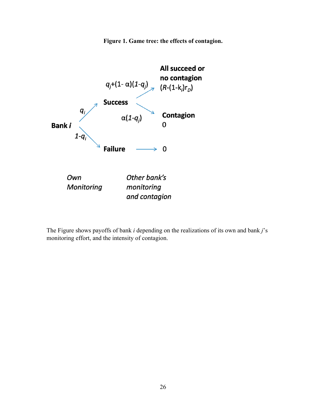**Figure 1. Game tree: the effects of contagion.** 



The Figure shows payoffs of bank *i* depending on the realizations of its own and bank *j*'s monitoring effort, and the intensity of contagion.